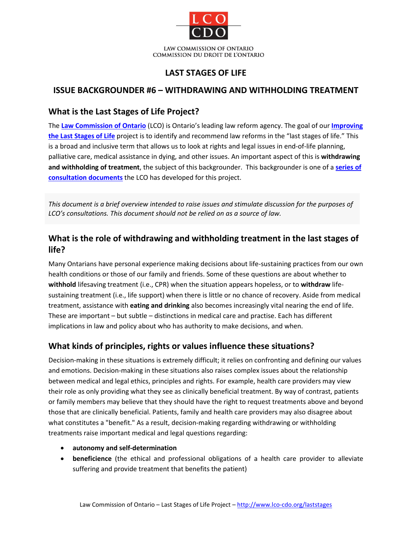

## **LAST STAGES OF LIFE**

## **ISSUE BACKGROUNDER #6 – WITHDRAWING AND WITHHOLDING TREATMENT**

### **What is the Last Stages of Life Project?**

The **[Law Commission of Ontario](http://www.lco-cdo.org/)** (LCO) is Ontario's leading law reform agency. The goal of our **[Improving](http://www.lco-cdo.org/laststages)  [the Last Stages of Life](http://www.lco-cdo.org/laststages)** project is to identify and recommend law reforms in the "last stages of life." This is a broad and inclusive term that allows us to look at rights and legal issues in end-of-life planning, palliative care, medical assistance in dying, and other issues. An important aspect of this is **withdrawing and withholding of treatment**, the subject of this backgrounder. This backgrounder is one of a **[series of](http://www.lco-cdo.org/laststages)  [consultation documents](http://www.lco-cdo.org/laststages)** the LCO has developed for this project.

*This document is a brief overview intended to raise issues and stimulate discussion for the purposes of LCO's consultations. This document should not be relied on as a source of law.*

# **What is the role of withdrawing and withholding treatment in the last stages of life?**

Many Ontarians have personal experience making decisions about life-sustaining practices from our own health conditions or those of our family and friends. Some of these questions are about whether to **withhold** lifesaving treatment (i.e., CPR) when the situation appears hopeless, or to **withdraw** lifesustaining treatment (i.e., life support) when there is little or no chance of recovery. Aside from medical treatment, assistance with **eating and drinking** also becomes increasingly vital nearing the end of life. These are important – but subtle – distinctions in medical care and practise. Each has different implications in law and policy about who has authority to make decisions, and when.

## **What kinds of principles, rights or values influence these situations?**

Decision-making in these situations is extremely difficult; it relies on confronting and defining our values and emotions. Decision-making in these situations also raises complex issues about the relationship between medical and legal ethics, principles and rights. For example, health care providers may view their role as only providing what they see as clinically beneficial treatment. By way of contrast, patients or family members may believe that they should have the right to request treatments above and beyond those that are clinically beneficial. Patients, family and health care providers may also disagree about what constitutes a "benefit." As a result, decision-making regarding withdrawing or withholding treatments raise important medical and legal questions regarding:

- **autonomy and self-determination**
- **beneficience** (the ethical and professional obligations of a health care provider to alleviate suffering and provide treatment that benefits the patient)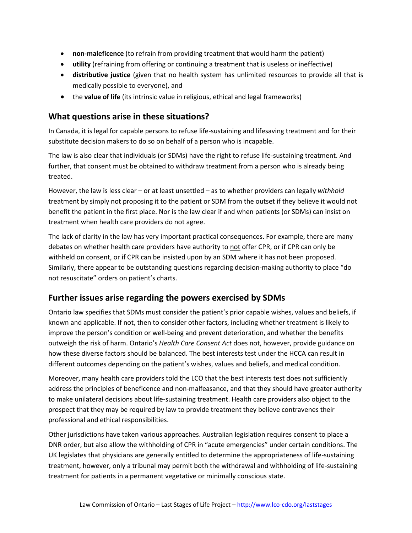- **non-maleficence** (to refrain from providing treatment that would harm the patient)
- **utility** (refraining from offering or continuing a treatment that is useless or ineffective)
- **distributive justice** (given that no health system has unlimited resources to provide all that is medically possible to everyone), and
- the **value of life** (its intrinsic value in religious, ethical and legal frameworks)

### **What questions arise in these situations?**

In Canada, it is legal for capable persons to refuse life-sustaining and lifesaving treatment and for their substitute decision makers to do so on behalf of a person who is incapable.

The law is also clear that individuals (or SDMs) have the right to refuse life-sustaining treatment. And further, that consent must be obtained to withdraw treatment from a person who is already being treated.

However, the law is less clear – or at least unsettled – as to whether providers can legally *withhold*  treatment by simply not proposing it to the patient or SDM from the outset if they believe it would not benefit the patient in the first place. Nor is the law clear if and when patients (or SDMs) can insist on treatment when health care providers do not agree.

The lack of clarity in the law has very important practical consequences. For example, there are many debates on whether health care providers have authority to not offer CPR, or if CPR can only be withheld on consent, or if CPR can be insisted upon by an SDM where it has not been proposed. Similarly, there appear to be outstanding questions regarding decision-making authority to place "do not resuscitate" orders on patient's charts.

#### **Further issues arise regarding the powers exercised by SDMs**

Ontario law specifies that SDMs must consider the patient's prior capable wishes, values and beliefs, if known and applicable. If not, then to consider other factors, including whether treatment is likely to improve the person's condition or well-being and prevent deterioration, and whether the benefits outweigh the risk of harm. Ontario's *Health Care Consent Act* does not, however, provide guidance on how these diverse factors should be balanced. The best interests test under the HCCA can result in different outcomes depending on the patient's wishes, values and beliefs, and medical condition.

Moreover, many health care providers told the LCO that the best interests test does not sufficiently address the principles of beneficence and non-malfeasance, and that they should have greater authority to make unilateral decisions about life-sustaining treatment. Health care providers also object to the prospect that they may be required by law to provide treatment they believe contravenes their professional and ethical responsibilities.

Other jurisdictions have taken various approaches. Australian legislation requires consent to place a DNR order, but also allow the withholding of CPR in "acute emergencies" under certain conditions. The UK legislates that physicians are generally entitled to determine the appropriateness of life-sustaining treatment, however, only a tribunal may permit both the withdrawal and withholding of life-sustaining treatment for patients in a permanent vegetative or minimally conscious state.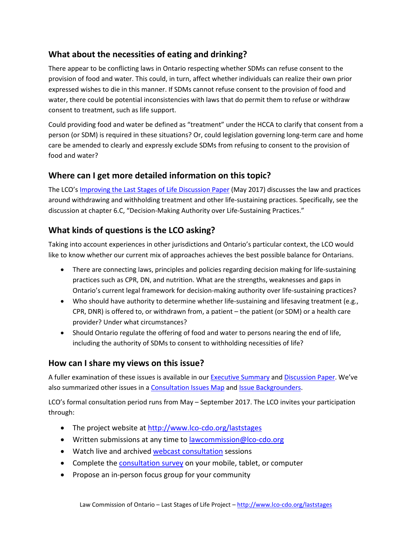## **What about the necessities of eating and drinking?**

There appear to be conflicting laws in Ontario respecting whether SDMs can refuse consent to the provision of food and water. This could, in turn, affect whether individuals can realize their own prior expressed wishes to die in this manner. If SDMs cannot refuse consent to the provision of food and water, there could be potential inconsistencies with laws that do permit them to refuse or withdraw consent to treatment, such as life support.

Could providing food and water be defined as "treatment" under the HCCA to clarify that consent from a person (or SDM) is required in these situations? Or, could legislation governing long-term care and home care be amended to clearly and expressly exclude SDMs from refusing to consent to the provision of food and water?

### **Where can I get more detailed information on this topic?**

The LCO'[s Improving the Last Stages of Life Discussion Paper](http://www.lco-cdo.org/laststages) (May 2017) discusses the law and practices around withdrawing and withholding treatment and other life-sustaining practices. Specifically, see the discussion at chapter 6.C, "Decision-Making Authority over Life-Sustaining Practices."

## **What kinds of questions is the LCO asking?**

Taking into account experiences in other jurisdictions and Ontario's particular context, the LCO would like to know whether our current mix of approaches achieves the best possible balance for Ontarians.

- There are connecting laws, principles and policies regarding decision making for life-sustaining practices such as CPR, DN, and nutrition. What are the strengths, weaknesses and gaps in Ontario's current legal framework for decision-making authority over life-sustaining practices?
- Who should have authority to determine whether life-sustaining and lifesaving treatment (e.g., CPR, DNR) is offered to, or withdrawn from, a patient – the patient (or SDM) or a health care provider? Under what circumstances?
- Should Ontario regulate the offering of food and water to persons nearing the end of life, including the authority of SDMs to consent to withholding necessities of life?

### **How can I share my views on this issue?**

A fuller examination of these issues is available in our [Executive Summary](http://www.lco-cdo.org/laststages) an[d Discussion Paper.](http://www.lco-cdo.org/laststages) We've also summarized other issues in [a Consultation Issues Map](http://www.lco-cdo.org/laststages) an[d Issue Backgrounders.](http://www.lco-cdo.org/laststages)

LCO's formal consultation period runs from May – September 2017. The LCO invites your participation through:

- The project website at<http://www.lco-cdo.org/laststages>
- Written submissions at any time to **lawcommission@lco-cdo.org**
- Watch live and archived [webcast consultation](http://www.lco-cdo.org/) sessions
- Complete the [consultation survey](http://www.lco-cdo.org/laststages) on your mobile, tablet, or computer
- Propose an in-person focus group for your community